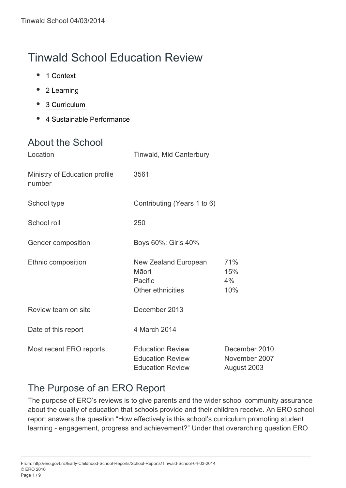# Tinwald School Education Review

- $\bullet$ [1 Context 2](#page-2-0)
- 2 Learning
- 3 Curriculum
- [4 Sustainable Performance 7](#page-7-0)

### About the School

| Location                                | <b>Tinwald, Mid Canterbury</b>                                                |                                               |
|-----------------------------------------|-------------------------------------------------------------------------------|-----------------------------------------------|
| Ministry of Education profile<br>number | 3561                                                                          |                                               |
| School type                             | Contributing (Years 1 to 6)                                                   |                                               |
| School roll                             | 250                                                                           |                                               |
| Gender composition                      | Boys 60%; Girls 40%                                                           |                                               |
| Ethnic composition                      | New Zealand European<br>Māori<br>Pacific<br><b>Other ethnicities</b>          | 71%<br>15%<br>4%<br>10%                       |
| Review team on site                     | December 2013                                                                 |                                               |
| Date of this report                     | 4 March 2014                                                                  |                                               |
| Most recent ERO reports                 | <b>Education Review</b><br><b>Education Review</b><br><b>Education Review</b> | December 2010<br>November 2007<br>August 2003 |

## The Purpose of an ERO Report

The purpose of ERO's reviews is to give parents and the wider school community assurance about the quality of education that schools provide and their children receive. An ERO school report answers the question "How effectively is this school's curriculum promoting student learning - engagement, progress and achievement?" Under that overarching question ERO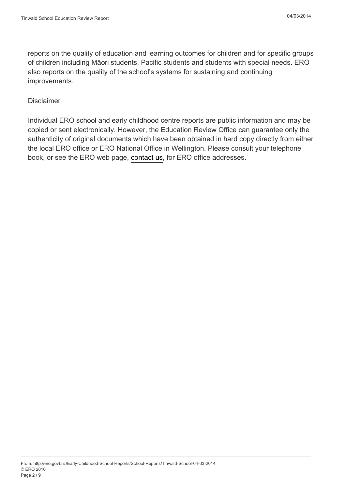reports on the quality of education and learning outcomes for children and for specific groups of children including Māori students, Pacific students and students with special needs. ERO also reports on the quality of the school's systems for sustaining and continuing improvements.

#### Disclaimer

Individual ERO school and early childhood centre reports are public information and may be copied or sent electronically. However, the Education Review Office can guarantee only the authenticity of original documents which have been obtained in hard copy directly from either the local ERO office or ERO National Office in Wellington. Please consult your telephone book, or see the ERO web page, [contact us](http://ero.govt.nz/Contact-Us), for ERO office addresses.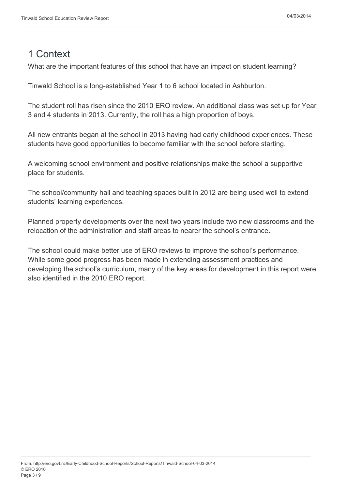#### <span id="page-2-0"></span>1 Context

What are the important features of this school that have an impact on student learning?

Tinwald School is a long-established Year 1 to 6 school located in Ashburton.

The student roll has risen since the 2010 ERO review. An additional class was set up for Year 3 and 4 students in 2013. Currently, the roll has a high proportion of boys.

All new entrants began at the school in 2013 having had early childhood experiences. These students have good opportunities to become familiar with the school before starting.

A welcoming school environment and positive relationships make the school a supportive place for students.

The school/community hall and teaching spaces built in 2012 are being used well to extend students' learning experiences.

Planned property developments over the next two years include two new classrooms and the relocation of the administration and staff areas to nearer the school's entrance.

The school could make better use of ERO reviews to improve the school's performance. While some good progress has been made in extending assessment practices and developing the school's curriculum, many of the key areas for development in this report were also identified in the 2010 ERO report.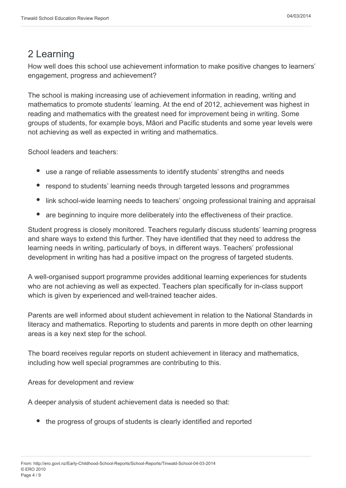### <span id="page-3-0"></span>2 Learning

How well does this school use achievement information to make positive changes to learners' engagement, progress and achievement?

The school is making increasing use of achievement information in reading, writing and mathematics to promote students' learning. At the end of 2012, achievement was highest in reading and mathematics with the greatest need for improvement being in writing. Some groups of students, for example boys, Māori and Pacific students and some year levels were not achieving as well as expected in writing and mathematics.

School leaders and teachers:

- use a range of reliable assessments to identify students' strengths and needs
- respond to students' learning needs through targeted lessons and programmes
- link school-wide learning needs to teachers' ongoing professional training and appraisal
- are beginning to inquire more deliberately into the effectiveness of their practice.

Student progress is closely monitored. Teachers regularly discuss students' learning progress and share ways to extend this further. They have identified that they need to address the learning needs in writing, particularly of boys, in different ways. Teachers' professional development in writing has had a positive impact on the progress of targeted students.

A well-organised support programme provides additional learning experiences for students who are not achieving as well as expected. Teachers plan specifically for in-class support which is given by experienced and well-trained teacher aides.

Parents are well informed about student achievement in relation to the National Standards in literacy and mathematics. Reporting to students and parents in more depth on other learning areas is a key next step for the school.

The board receives regular reports on student achievement in literacy and mathematics, including how well special programmes are contributing to this.

Areas for development and review

A deeper analysis of student achievement data is needed so that:

• the progress of groups of students is clearly identified and reported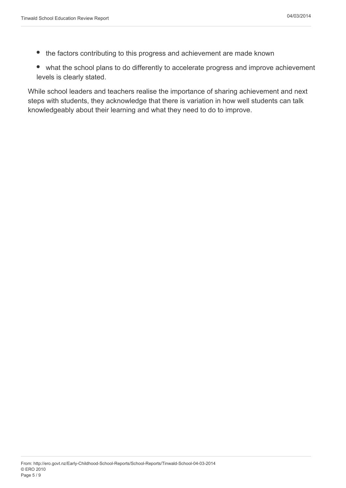- the factors contributing to this progress and achievement are made known
- what the school plans to do differently to accelerate progress and improve achievement levels is clearly stated.

While school leaders and teachers realise the importance of sharing achievement and next steps with students, they acknowledge that there is variation in how well students can talk knowledgeably about their learning and what they need to do to improve.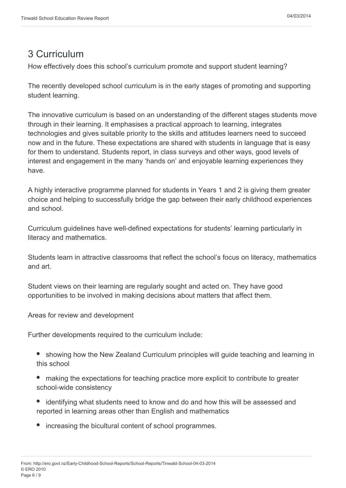#### <span id="page-5-0"></span>3 Curriculum

How effectively does this school's curriculum promote and support student learning?

The recently developed school curriculum is in the early stages of promoting and supporting student learning.

The innovative curriculum is based on an understanding of the different stages students move through in their learning. It emphasises a practical approach to learning, integrates technologies and gives suitable priority to the skills and attitudes learners need to succeed now and in the future. These expectations are shared with students in language that is easy for them to understand. Students report, in class surveys and other ways, good levels of interest and engagement in the many 'hands on' and enjoyable learning experiences they have.

A highly interactive programme planned for students in Years 1 and 2 is giving them greater choice and helping to successfully bridge the gap between their early childhood experiences and school.

Curriculum guidelines have well-defined expectations for students' learning particularly in literacy and mathematics.

Students learn in attractive classrooms that reflect the school's focus on literacy, mathematics and art.

Student views on their learning are regularly sought and acted on. They have good opportunities to be involved in making decisions about matters that affect them.

Areas for review and development

Further developments required to the curriculum include:

- showing how the New Zealand Curriculum principles will guide teaching and learning in this school
- making the expectations for teaching practice more explicit to contribute to greater school-wide consistency
- identifying what students need to know and do and how this will be assessed and reported in learning areas other than English and mathematics
- increasing the bicultural content of school programmes.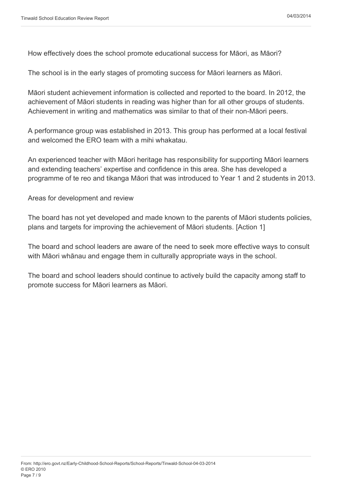How effectively does the school promote educational success for Māori, as Māori?

The school is in the early stages of promoting success for Māori learners as Māori.

Māori student achievement information is collected and reported to the board. In 2012, the achievement of Māori students in reading was higher than for all other groups of students. Achievement in writing and mathematics was similar to that of their non-Māori peers.

A performance group was established in 2013. This group has performed at a local festival and welcomed the ERO team with a mihi whakatau.

An experienced teacher with Māori heritage has responsibility for supporting Māori learners and extending teachers' expertise and confidence in this area. She has developed a programme of te reo and tikanga Māori that was introduced to Year 1 and 2 students in 2013.

Areas for development and review

The board has not yet developed and made known to the parents of Māori students policies, plans and targets for improving the achievement of Māori students. [Action 1]

The board and school leaders are aware of the need to seek more effective ways to consult with Māori whānau and engage them in culturally appropriate ways in the school.

The board and school leaders should continue to actively build the capacity among staff to promote success for Māori learners as Māori.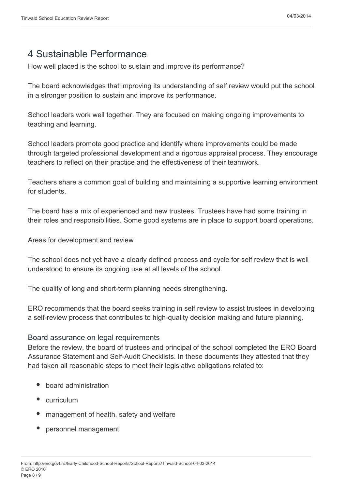#### <span id="page-7-0"></span>4 Sustainable Performance

How well placed is the school to sustain and improve its performance?

The board acknowledges that improving its understanding of self review would put the school in a stronger position to sustain and improve its performance.

School leaders work well together. They are focused on making ongoing improvements to teaching and learning.

School leaders promote good practice and identify where improvements could be made through targeted professional development and a rigorous appraisal process. They encourage teachers to reflect on their practice and the effectiveness of their teamwork.

Teachers share a common goal of building and maintaining a supportive learning environment for students.

The board has a mix of experienced and new trustees. Trustees have had some training in their roles and responsibilities. Some good systems are in place to support board operations.

Areas for development and review

The school does not yet have a clearly defined process and cycle for self review that is well understood to ensure its ongoing use at all levels of the school.

The quality of long and short-term planning needs strengthening.

ERO recommends that the board seeks training in self review to assist trustees in developing a self-review process that contributes to high-quality decision making and future planning.

#### Board assurance on legal requirements

Before the review, the board of trustees and principal of the school completed the ERO Board Assurance Statement and Self-Audit Checklists. In these documents they attested that they had taken all reasonable steps to meet their legislative obligations related to:

- board administration
- curriculum
- management of health, safety and welfare
- personnel management